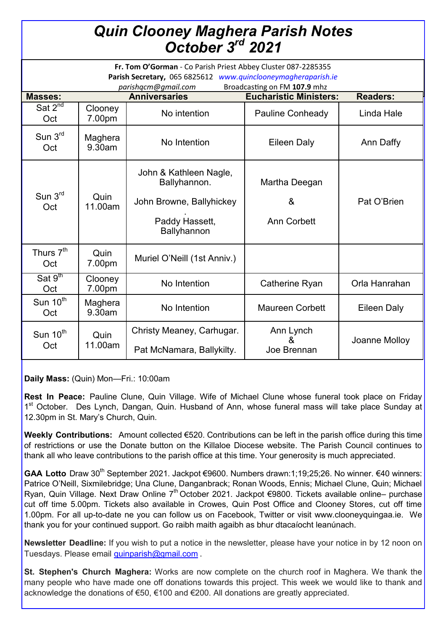| <b>Quin Clooney Maghera Parish Notes<br/>October 3<sup>rd</sup> 2021</b>                                                                                                              |                   |                                        |                               |                 |  |  |
|---------------------------------------------------------------------------------------------------------------------------------------------------------------------------------------|-------------------|----------------------------------------|-------------------------------|-----------------|--|--|
| Fr. Tom O'Gorman - Co Parish Priest Abbey Cluster 087-2285355<br>Parish Secretary, 065 6825612 www.quinclooneymagheraparish.ie<br>Broadcasting on FM 107.9 mhz<br>parishqcm@qmail.com |                   |                                        |                               |                 |  |  |
| <b>Masses:</b>                                                                                                                                                                        |                   | <b>Anniversaries</b>                   | <b>Eucharistic Ministers:</b> | <b>Readers:</b> |  |  |
| Sat $2^{nd}$<br>Oct                                                                                                                                                                   | Clooney<br>7.00pm | No intention                           | <b>Pauline Conheady</b>       | Linda Hale      |  |  |
| Sum 3 <sup>rd</sup><br>Oct                                                                                                                                                            | Maghera<br>9.30am | No Intention                           | Eileen Daly                   | Ann Daffy       |  |  |
|                                                                                                                                                                                       |                   | John & Kathleen Nagle,<br>Ballyhannon. | Martha Deegan                 |                 |  |  |
| Sun $3rd$<br>Oct                                                                                                                                                                      | Quin<br>11.00am   | John Browne, Ballyhickey               | &                             | Pat O'Brien     |  |  |

|                              |                   | Paddy Hassett,<br>Ballyhannon | <b>Ann Corbett</b>     |               |
|------------------------------|-------------------|-------------------------------|------------------------|---------------|
| Thurs 7 <sup>th</sup><br>Oct | Quin<br>7.00pm    | Muriel O'Neill (1st Anniv.)   |                        |               |
| Sat $9th$<br>Oct             | Clooney<br>7.00pm | No Intention                  | Catherine Ryan         | Orla Hanrahan |
| Sun $10^{th}$<br>Oct         | Maghera<br>9.30am | No Intention                  | <b>Maureen Corbett</b> | Eileen Daly   |
| Sun 10 <sup>th</sup><br>Oct  | Quin<br>11.00am   | Christy Meaney, Carhugar.     | Ann Lynch<br>&         | Joanne Molloy |
|                              |                   | Pat McNamara, Ballykilty.     | Joe Brennan            |               |

**Daily Mass:** (Quin) Mon—Fri.: 10:00am

**Rest In Peace:** Pauline Clune, Quin Village. Wife of Michael Clune whose funeral took place on Friday 1<sup>st</sup> October. Des Lynch, Dangan, Quin. Husband of Ann, whose funeral mass will take place Sunday at 12.30pm in St. Mary's Church, Quin.

**Weekly Contributions:** Amount collected €520. Contributions can be left in the parish office during this time of restrictions or use the Donate button on the Killaloe Diocese website. The Parish Council continues to thank all who leave contributions to the parish office at this time. Your generosity is much appreciated.

GAA Lotto Draw 30<sup>th</sup> September 2021. Jackpot €9600. Numbers drawn:1;19;25;26. No winner. €40 winners: Patrice O'Neill, Sixmilebridge; Una Clune, Danganbrack; Ronan Woods, Ennis; Michael Clune, Quin; Michael Ryan, Quin Village. Next Draw Online 7<sup>th</sup> October 2021. Jackpot €9800. Tickets available online– purchase cut off time 5.00pm. Tickets also available in Crowes, Quin Post Office and Clooney Stores, cut off time 1.00pm. For all up-to-date ne you can follow us on Facebook, Twitter or visit www.clooneyquingaa.ie. We thank you for your continued support. Go raibh maith agaibh as bhur dtacaíocht leanúnach.

**Newsletter Deadline:** If you wish to put a notice in the newsletter, please have your notice in by 12 noon on Tuesdays. Please email [quinparish@gmail.com](mailto:quinparish@gmail.com) .

**St. Stephen's Church Maghera:** Works are now complete on the church roof in Maghera. We thank the many people who have made one off donations towards this project. This week we would like to thank and acknowledge the donations of €50, €100 and €200. All donations are greatly appreciated.